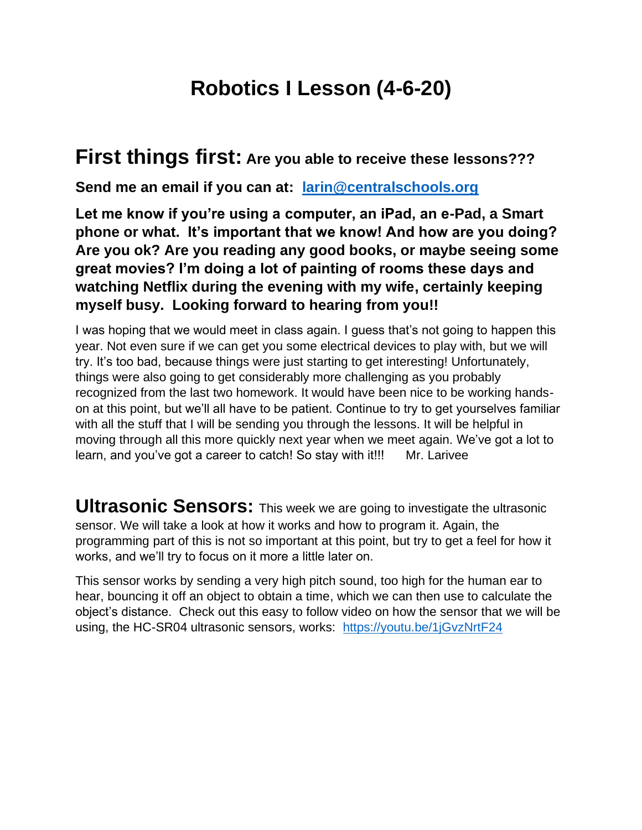## **Robotics I Lesson (4-6-20)**

## **First things first: Are you able to receive these lessons???**

**Send me an email if you can at: [larin@centralschools.org](mailto:larin@centralschools.org)**

**Let me know if you're using a computer, an iPad, an e-Pad, a Smart phone or what. It's important that we know! And how are you doing? Are you ok? Are you reading any good books, or maybe seeing some great movies? I'm doing a lot of painting of rooms these days and watching Netflix during the evening with my wife, certainly keeping myself busy. Looking forward to hearing from you!!**

I was hoping that we would meet in class again. I guess that's not going to happen this year. Not even sure if we can get you some electrical devices to play with, but we will try. It's too bad, because things were just starting to get interesting! Unfortunately, things were also going to get considerably more challenging as you probably recognized from the last two homework. It would have been nice to be working handson at this point, but we'll all have to be patient. Continue to try to get yourselves familiar with all the stuff that I will be sending you through the lessons. It will be helpful in moving through all this more quickly next year when we meet again. We've got a lot to learn, and you've got a career to catch! So stay with it!!! Mr. Larivee

**Ultrasonic Sensors:** This week we are going to investigate the ultrasonic sensor. We will take a look at how it works and how to program it. Again, the programming part of this is not so important at this point, but try to get a feel for how it works, and we'll try to focus on it more a little later on.

This sensor works by sending a very high pitch sound, too high for the human ear to hear, bouncing it off an object to obtain a time, which we can then use to calculate the object's distance. Check out this easy to follow video on how the sensor that we will be using, the HC-SR04 ultrasonic sensors, works: <https://youtu.be/1jGvzNrtF24>